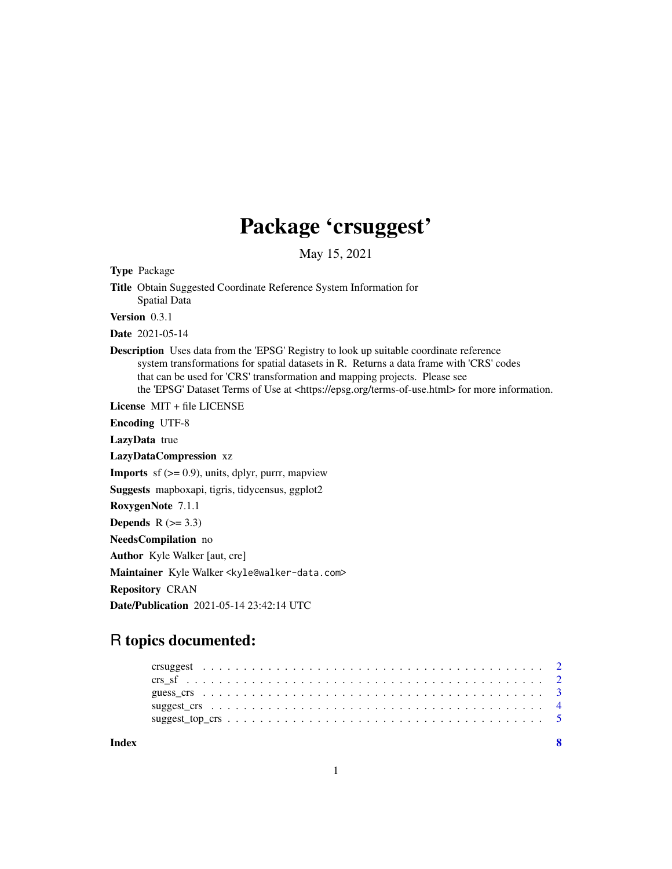## Package 'crsuggest'

May 15, 2021

Type Package

Title Obtain Suggested Coordinate Reference System Information for Spatial Data

Version 0.3.1

Date 2021-05-14

Description Uses data from the 'EPSG' Registry to look up suitable coordinate reference system transformations for spatial datasets in R. Returns a data frame with 'CRS' codes that can be used for 'CRS' transformation and mapping projects. Please see the 'EPSG' Dataset Terms of Use at <https://epsg.org/terms-of-use.html> for more information.

License MIT + file LICENSE

Encoding UTF-8

LazyData true

LazyDataCompression xz

**Imports** sf  $(>= 0.9)$ , units, dplyr, purrr, mapview

Suggests mapboxapi, tigris, tidycensus, ggplot2

RoxygenNote 7.1.1

**Depends**  $R$  ( $>= 3.3$ )

NeedsCompilation no

Author Kyle Walker [aut, cre]

Maintainer Kyle Walker <kyle@walker-data.com>

Repository CRAN

Date/Publication 2021-05-14 23:42:14 UTC

### R topics documented:

| Index |  |  |  |  |  |  |  |  |  |  |  |  |  |  |  |  |  |  | $\mathbf{R}$ |
|-------|--|--|--|--|--|--|--|--|--|--|--|--|--|--|--|--|--|--|--------------|
|       |  |  |  |  |  |  |  |  |  |  |  |  |  |  |  |  |  |  |              |
|       |  |  |  |  |  |  |  |  |  |  |  |  |  |  |  |  |  |  |              |
|       |  |  |  |  |  |  |  |  |  |  |  |  |  |  |  |  |  |  |              |
|       |  |  |  |  |  |  |  |  |  |  |  |  |  |  |  |  |  |  |              |
|       |  |  |  |  |  |  |  |  |  |  |  |  |  |  |  |  |  |  |              |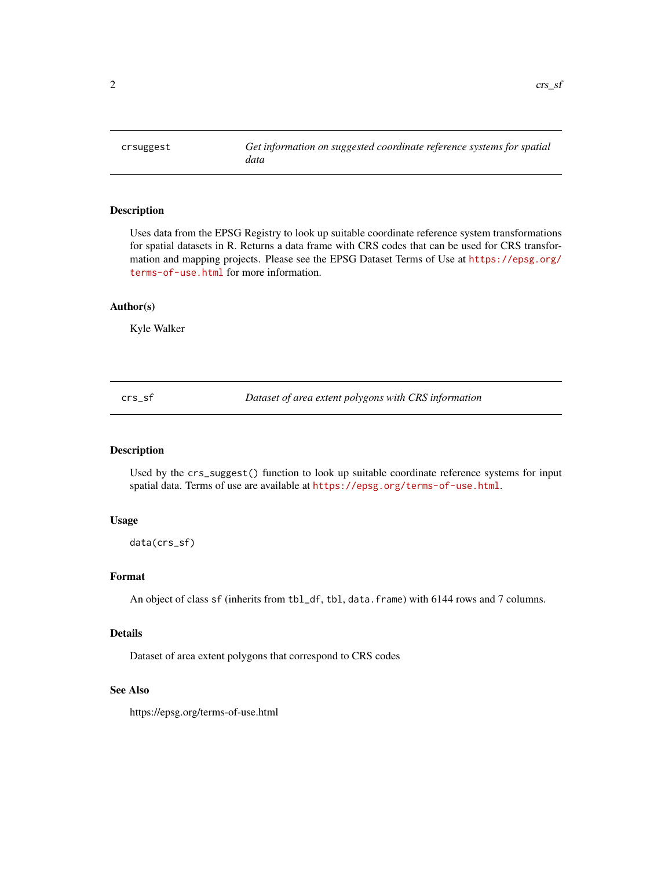<span id="page-1-0"></span>

#### Description

Uses data from the EPSG Registry to look up suitable coordinate reference system transformations for spatial datasets in R. Returns a data frame with CRS codes that can be used for CRS transformation and mapping projects. Please see the EPSG Dataset Terms of Use at [https://epsg.org/](https://epsg.org/terms-of-use.html) [terms-of-use.html](https://epsg.org/terms-of-use.html) for more information.

#### Author(s)

Kyle Walker

crs\_sf *Dataset of area extent polygons with CRS information*

#### Description

Used by the crs\_suggest() function to look up suitable coordinate reference systems for input spatial data. Terms of use are available at <https://epsg.org/terms-of-use.html>.

#### Usage

data(crs\_sf)

#### Format

An object of class sf (inherits from tbl\_df, tbl, data.frame) with 6144 rows and 7 columns.

#### Details

Dataset of area extent polygons that correspond to CRS codes

#### See Also

https://epsg.org/terms-of-use.html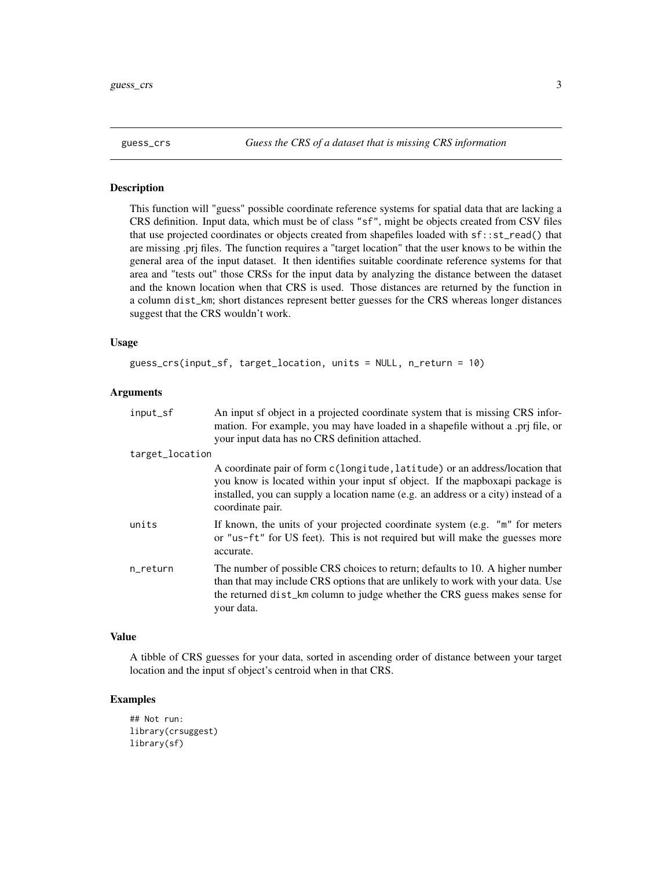<span id="page-2-0"></span>

#### Description

This function will "guess" possible coordinate reference systems for spatial data that are lacking a CRS definition. Input data, which must be of class "sf", might be objects created from CSV files that use projected coordinates or objects created from shapefiles loaded with sf::st\_read() that are missing .prj files. The function requires a "target location" that the user knows to be within the general area of the input dataset. It then identifies suitable coordinate reference systems for that area and "tests out" those CRSs for the input data by analyzing the distance between the dataset and the known location when that CRS is used. Those distances are returned by the function in a column dist\_km; short distances represent better guesses for the CRS whereas longer distances suggest that the CRS wouldn't work.

#### Usage

```
guess_crs(input_sf, target_location, units = NULL, n_return = 10)
```
#### Arguments

| input_sf        | An input sf object in a projected coordinate system that is missing CRS infor-<br>mation. For example, you may have loaded in a shapefile without a .prj file, or<br>your input data has no CRS definition attached.                                                   |
|-----------------|------------------------------------------------------------------------------------------------------------------------------------------------------------------------------------------------------------------------------------------------------------------------|
| target_location |                                                                                                                                                                                                                                                                        |
|                 | A coordinate pair of form c(longitude, latitude) or an address/location that<br>you know is located within your input sf object. If the mapboxapi package is<br>installed, you can supply a location name (e.g. an address or a city) instead of a<br>coordinate pair. |
| units           | If known, the units of your projected coordinate system (e.g. "m" for meters<br>or "us-ft" for US feet). This is not required but will make the guesses more<br>accurate.                                                                                              |
| n_return        | The number of possible CRS choices to return; defaults to 10. A higher number<br>than that may include CRS options that are unlikely to work with your data. Use<br>the returned dist_km column to judge whether the CRS guess makes sense for<br>your data.           |

#### Value

A tibble of CRS guesses for your data, sorted in ascending order of distance between your target location and the input sf object's centroid when in that CRS.

#### Examples

## Not run: library(crsuggest) library(sf)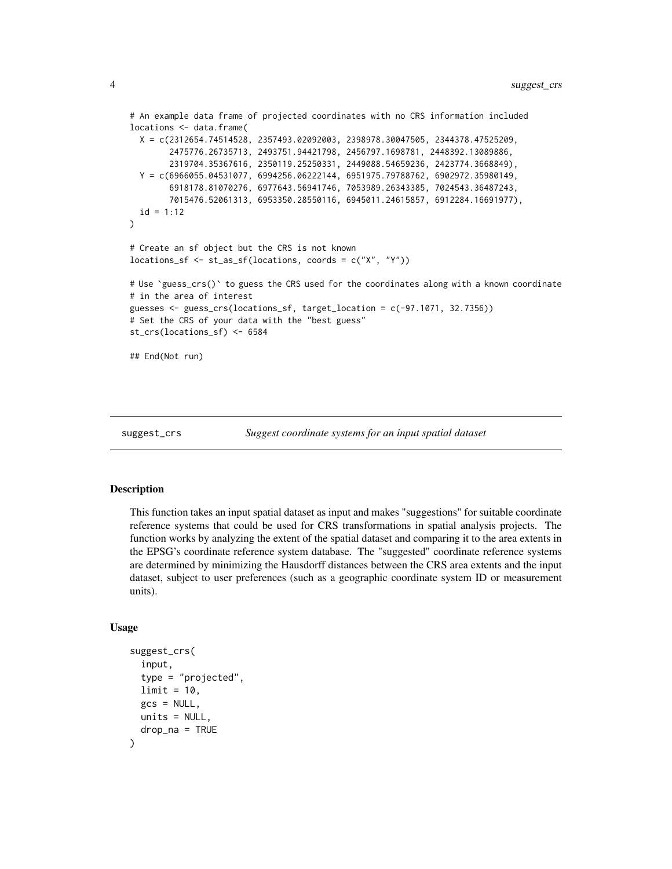```
# An example data frame of projected coordinates with no CRS information included
locations <- data.frame(
 X = c(2312654.74514528, 2357493.02092003, 2398978.30047505, 2344378.47525209,
        2475776.26735713, 2493751.94421798, 2456797.1698781, 2448392.13089886,
        2319704.35367616, 2350119.25250331, 2449088.54659236, 2423774.3668849),
 Y = c(6966055.04531077, 6994256.06222144, 6951975.79788762, 6902972.35980149,
        6918178.81070276, 6977643.56941746, 7053989.26343385, 7024543.36487243,
        7015476.52061313, 6953350.28550116, 6945011.24615857, 6912284.16691977),
 id = 1:12\mathcal{L}# Create an sf object but the CRS is not known
locations_sf <- st_as_sf(locations, coords = c("X", "Y"))
# Use `guess_crs()` to guess the CRS used for the coordinates along with a known coordinate
# in the area of interest
guesses <- guess_crs(locations_sf, target_location = c(-97.1071, 32.7356))
# Set the CRS of your data with the "best guess"
st_crs(locations_sf) <- 6584
## End(Not run)
```
suggest\_crs *Suggest coordinate systems for an input spatial dataset*

#### Description

This function takes an input spatial dataset as input and makes "suggestions" for suitable coordinate reference systems that could be used for CRS transformations in spatial analysis projects. The function works by analyzing the extent of the spatial dataset and comparing it to the area extents in the EPSG's coordinate reference system database. The "suggested" coordinate reference systems are determined by minimizing the Hausdorff distances between the CRS area extents and the input dataset, subject to user preferences (such as a geographic coordinate system ID or measurement units).

#### Usage

```
suggest_crs(
  input,
  type = "projected",
 limit = 10,gcs = NULL,
 units = NULL,drop_na = TRUE
)
```
<span id="page-3-0"></span>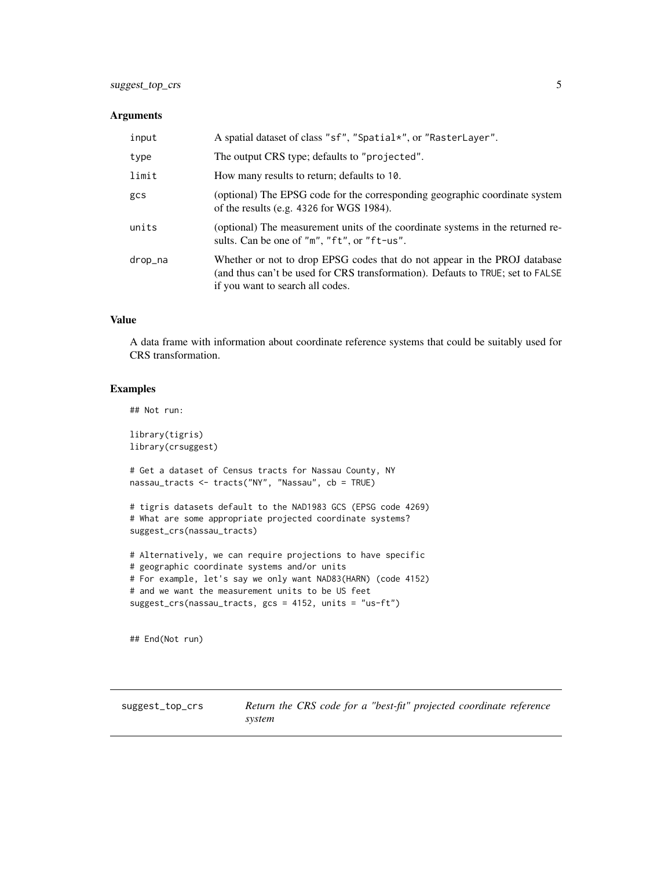#### <span id="page-4-0"></span>Arguments

| input   | A spatial dataset of class "sf", "Spatial*", or "RasterLayer".                                                                                                                                  |
|---------|-------------------------------------------------------------------------------------------------------------------------------------------------------------------------------------------------|
| type    | The output CRS type; defaults to "projected".                                                                                                                                                   |
| limit   | How many results to return; defaults to 10.                                                                                                                                                     |
| gcs     | (optional) The EPSG code for the corresponding geographic coordinate system<br>of the results (e.g. $4326$ for WGS 1984).                                                                       |
| units   | (optional) The measurement units of the coordinate systems in the returned re-<br>sults. Can be one of "m", "ft", or "ft-us".                                                                   |
| drop_na | Whether or not to drop EPSG codes that do not appear in the PROJ database<br>(and thus can't be used for CRS transformation). Defauts to TRUE; set to FALSE<br>if you want to search all codes. |

#### Value

A data frame with information about coordinate reference systems that could be suitably used for CRS transformation.

#### Examples

## Not run:

library(tigris) library(crsuggest) # Get a dataset of Census tracts for Nassau County, NY nassau\_tracts <- tracts("NY", "Nassau", cb = TRUE)

```
# tigris datasets default to the NAD1983 GCS (EPSG code 4269)
# What are some appropriate projected coordinate systems?
suggest_crs(nassau_tracts)
```

```
# Alternatively, we can require projections to have specific
# geographic coordinate systems and/or units
# For example, let's say we only want NAD83(HARN) (code 4152)
# and we want the measurement units to be US feet
suggest_crs(nassau_tracts, gcs = 4152, units = "us-ft")
```
## End(Not run)

suggest\_top\_crs *Return the CRS code for a "best-fit" projected coordinate reference system*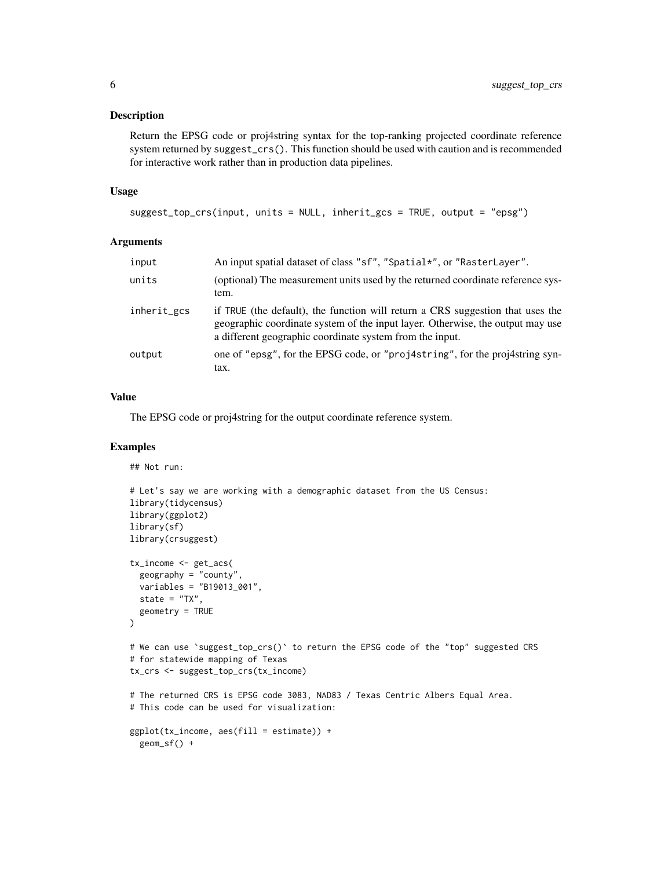#### Description

Return the EPSG code or proj4string syntax for the top-ranking projected coordinate reference system returned by suggest\_crs(). This function should be used with caution and is recommended for interactive work rather than in production data pipelines.

#### Usage

```
suggest_top_crs(input, units = NULL, inherit_gcs = TRUE, output = "epsg")
```
#### Arguments

| input       | An input spatial dataset of class "sf", "Spatial*", or "RasterLayer".                                                                                                                                                        |
|-------------|------------------------------------------------------------------------------------------------------------------------------------------------------------------------------------------------------------------------------|
| units       | (optional) The measurement units used by the returned coordinate reference sys-<br>tem.                                                                                                                                      |
| inherit_gcs | if TRUE (the default), the function will return a CRS suggestion that uses the<br>geographic coordinate system of the input layer. Otherwise, the output may use<br>a different geographic coordinate system from the input. |
| output      | one of "epsg", for the EPSG code, or "proj4string", for the proj4string syn-<br>tax.                                                                                                                                         |

#### Value

The EPSG code or proj4string for the output coordinate reference system.

#### Examples

## Not run:

```
# Let's say we are working with a demographic dataset from the US Census:
library(tidycensus)
library(ggplot2)
library(sf)
library(crsuggest)
tx_income <- get_acs(
  geography = "county",
  variables = "B19013_001",
  state = "TX",geometry = TRUE
\mathcal{L}# We can use `suggest_top_crs()` to return the EPSG code of the "top" suggested CRS
# for statewide mapping of Texas
tx_crs <- suggest_top_crs(tx_income)
# The returned CRS is EPSG code 3083, NAD83 / Texas Centric Albers Equal Area.
# This code can be used for visualization:
ggplot(tx_income, aes(fill = estimate)) +geom_sf() +
```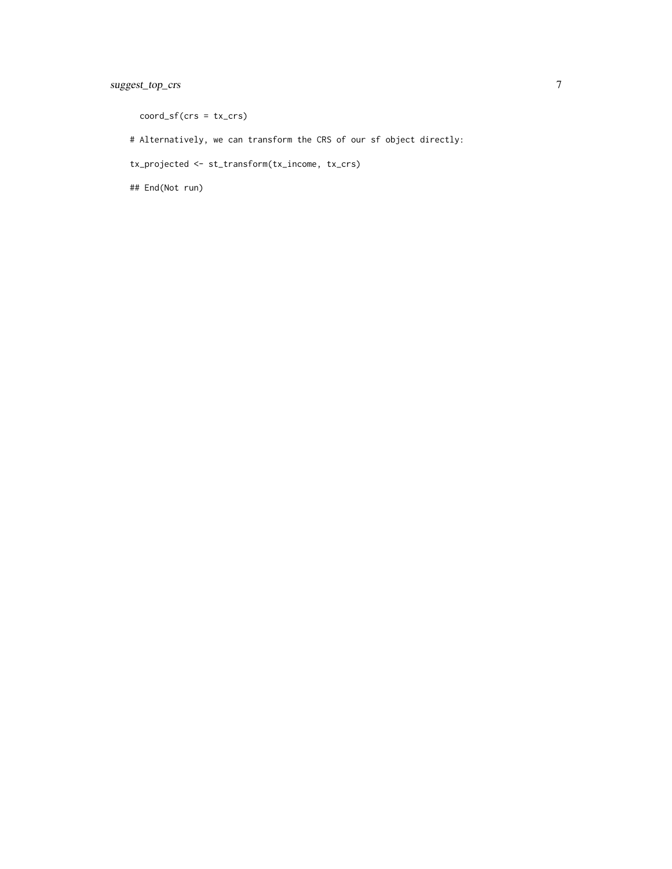coord\_sf(crs = tx\_crs)

# Alternatively, we can transform the CRS of our sf object directly:

tx\_projected <- st\_transform(tx\_income, tx\_crs)

## End(Not run)